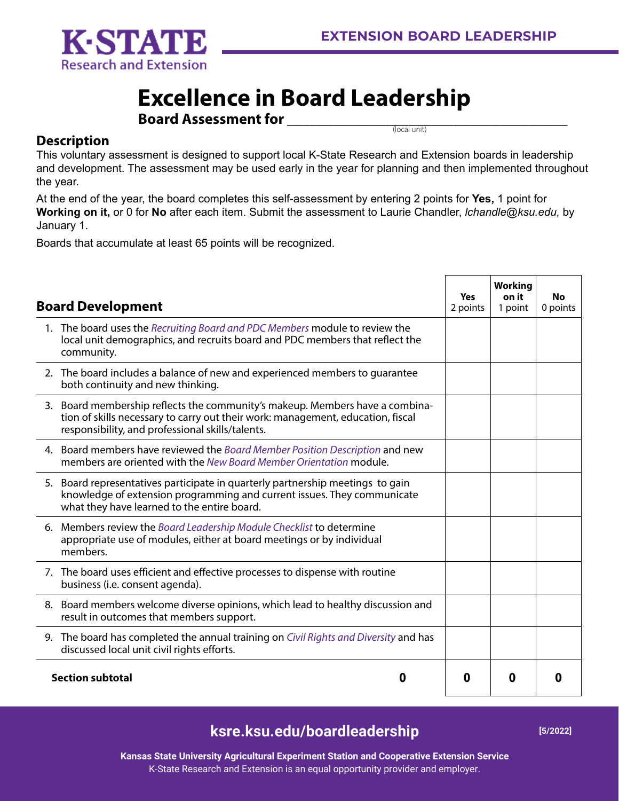

## **Excellence in Board Leadership**

**Board Assessment for \_\_\_\_\_\_\_\_\_\_\_\_\_\_\_\_\_\_\_\_\_\_\_\_\_\_\_\_\_\_\_\_\_\_\_\_\_**  (local unit)

## **Description**

This voluntary assessment is designed to support local K-State Research and Extension boards in leadership and development. The assessment may be used early in the year for planning and then implemented throughout the year.

At the end of the year, the board completes this self-assessment by entering 2 points for **Yes,** 1 point for **Working on it,** or 0 for **No** after each item. Submit the assessment to Laurie Chandler, *lchandle@ksu.edu*, by January 1.

Boards that accumulate at least 65 points will be recognized.

| <b>Board Development</b>                                                                                                                                                                                            |  | <b>Working</b><br>on it<br>1 point | No<br>0 points    |
|---------------------------------------------------------------------------------------------------------------------------------------------------------------------------------------------------------------------|--|------------------------------------|-------------------|
| 1. The board uses the Recruiting Board and PDC Members module to review the<br>local unit demographics, and recruits board and PDC members that reflect the<br>community.                                           |  |                                    |                   |
| 2. The board includes a balance of new and experienced members to quarantee<br>both continuity and new thinking.                                                                                                    |  |                                    |                   |
| 3. Board membership reflects the community's makeup. Members have a combina-<br>tion of skills necessary to carry out their work: management, education, fiscal<br>responsibility, and professional skills/talents. |  |                                    |                   |
| 4. Board members have reviewed the Board Member Position Description and new<br>members are oriented with the New Board Member Orientation module.                                                                  |  |                                    |                   |
| 5. Board representatives participate in quarterly partnership meetings to gain<br>knowledge of extension programming and current issues. They communicate<br>what they have learned to the entire board.            |  |                                    |                   |
| 6. Members review the Board Leadership Module Checklist to determine<br>appropriate use of modules, either at board meetings or by individual<br>members.                                                           |  |                                    |                   |
| 7. The board uses efficient and effective processes to dispense with routine<br>business (i.e. consent agenda).                                                                                                     |  |                                    |                   |
| 8. Board members welcome diverse opinions, which lead to healthy discussion and<br>result in outcomes that members support.                                                                                         |  |                                    |                   |
| 9. The board has completed the annual training on Civil Rights and Diversity and has<br>discussed local unit civil rights efforts.                                                                                  |  |                                    |                   |
| <b>Section subtotal</b><br>O                                                                                                                                                                                        |  | 0                                  | $\mathbf{\Omega}$ |

## **ksre.ksu.edu/boardleadership [5/2022]**

**Kansas State University Agricultural Experiment Station and Cooperative Extension Service** K-State Research and Extension is an equal opportunity provider and employer.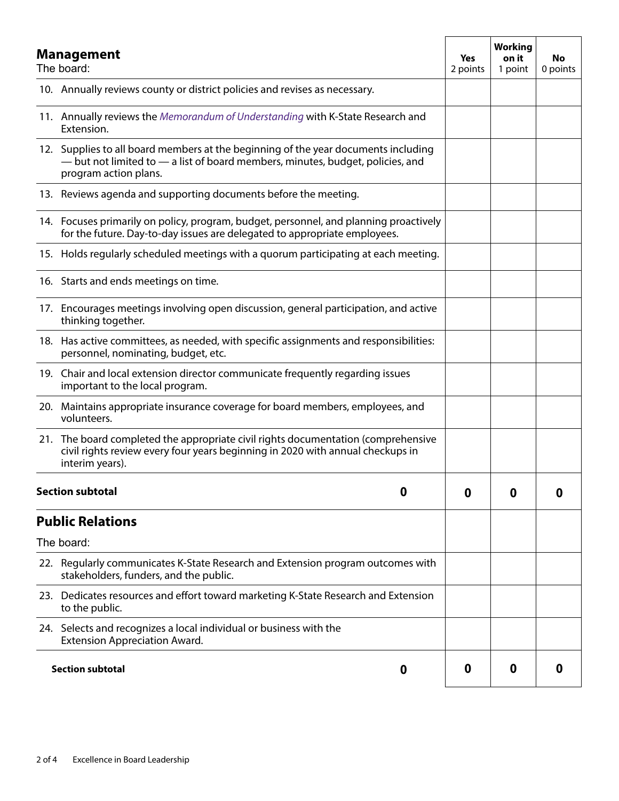| <b>Management</b><br>The board: |                                                                                                                                                                                               | Yes<br>2 points | <b>Working</b><br>on it<br>1 point | <b>No</b><br>0 points |
|---------------------------------|-----------------------------------------------------------------------------------------------------------------------------------------------------------------------------------------------|-----------------|------------------------------------|-----------------------|
|                                 | 10. Annually reviews county or district policies and revises as necessary.                                                                                                                    |                 |                                    |                       |
|                                 | 11. Annually reviews the Memorandum of Understanding with K-State Research and<br>Extension.                                                                                                  |                 |                                    |                       |
|                                 | 12. Supplies to all board members at the beginning of the year documents including<br>- but not limited to - a list of board members, minutes, budget, policies, and<br>program action plans. |                 |                                    |                       |
|                                 | 13. Reviews agenda and supporting documents before the meeting.                                                                                                                               |                 |                                    |                       |
|                                 | 14. Focuses primarily on policy, program, budget, personnel, and planning proactively<br>for the future. Day-to-day issues are delegated to appropriate employees.                            |                 |                                    |                       |
|                                 | 15. Holds regularly scheduled meetings with a quorum participating at each meeting.                                                                                                           |                 |                                    |                       |
|                                 | 16. Starts and ends meetings on time.                                                                                                                                                         |                 |                                    |                       |
|                                 | 17. Encourages meetings involving open discussion, general participation, and active<br>thinking together.                                                                                    |                 |                                    |                       |
|                                 | 18. Has active committees, as needed, with specific assignments and responsibilities:<br>personnel, nominating, budget, etc.                                                                  |                 |                                    |                       |
|                                 | 19. Chair and local extension director communicate frequently regarding issues<br>important to the local program.                                                                             |                 |                                    |                       |
|                                 | 20. Maintains appropriate insurance coverage for board members, employees, and<br>volunteers.                                                                                                 |                 |                                    |                       |
|                                 | 21. The board completed the appropriate civil rights documentation (comprehensive<br>civil rights review every four years beginning in 2020 with annual checkups in<br>interim years).        |                 |                                    |                       |
| <b>Section subtotal</b><br>0    |                                                                                                                                                                                               | 0               | 0                                  | 0                     |
|                                 | <b>Public Relations</b>                                                                                                                                                                       |                 |                                    |                       |
|                                 | The board:                                                                                                                                                                                    |                 |                                    |                       |
|                                 | 22. Regularly communicates K-State Research and Extension program outcomes with<br>stakeholders, funders, and the public.                                                                     |                 |                                    |                       |
|                                 | 23. Dedicates resources and effort toward marketing K-State Research and Extension<br>to the public.                                                                                          |                 |                                    |                       |
|                                 | 24. Selects and recognizes a local individual or business with the<br><b>Extension Appreciation Award.</b>                                                                                    |                 |                                    |                       |
| <b>Section subtotal</b><br>0    |                                                                                                                                                                                               | 0               | 0                                  | 0                     |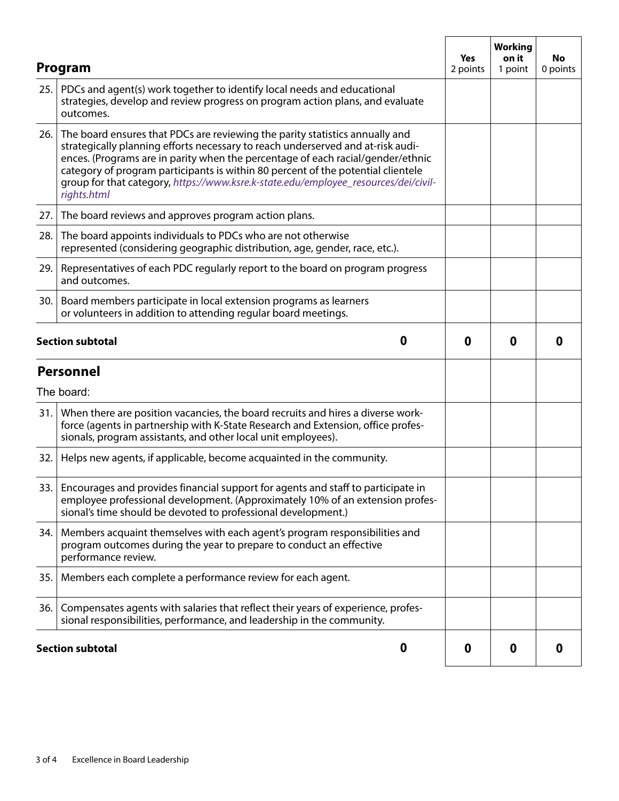|     | Program                                                                                                                                                                                                                                                                                                                                                                                                                                      | Yes<br>2 points | <b>Working</b><br>on it<br>1 point | No<br>0 points |
|-----|----------------------------------------------------------------------------------------------------------------------------------------------------------------------------------------------------------------------------------------------------------------------------------------------------------------------------------------------------------------------------------------------------------------------------------------------|-----------------|------------------------------------|----------------|
| 25. | PDCs and agent(s) work together to identify local needs and educational<br>strategies, develop and review progress on program action plans, and evaluate<br>outcomes.                                                                                                                                                                                                                                                                        |                 |                                    |                |
| 26. | The board ensures that PDCs are reviewing the parity statistics annually and<br>strategically planning efforts necessary to reach underserved and at-risk audi-<br>ences. (Programs are in parity when the percentage of each racial/gender/ethnic<br>category of program participants is within 80 percent of the potential clientele<br>group for that category, https://www.ksre.k-state.edu/employee_resources/dei/civil-<br>rights.html |                 |                                    |                |
| 27. | The board reviews and approves program action plans.                                                                                                                                                                                                                                                                                                                                                                                         |                 |                                    |                |
| 28. | The board appoints individuals to PDCs who are not otherwise<br>represented (considering geographic distribution, age, gender, race, etc.).                                                                                                                                                                                                                                                                                                  |                 |                                    |                |
| 29. | Representatives of each PDC regularly report to the board on program progress<br>and outcomes.                                                                                                                                                                                                                                                                                                                                               |                 |                                    |                |
| 30. | Board members participate in local extension programs as learners<br>or volunteers in addition to attending regular board meetings.                                                                                                                                                                                                                                                                                                          |                 |                                    |                |
|     | 0<br><b>Section subtotal</b>                                                                                                                                                                                                                                                                                                                                                                                                                 | $\bf{0}$        | 0                                  | 0              |
|     | <b>Personnel</b>                                                                                                                                                                                                                                                                                                                                                                                                                             |                 |                                    |                |
|     | The board:                                                                                                                                                                                                                                                                                                                                                                                                                                   |                 |                                    |                |
| 31. | When there are position vacancies, the board recruits and hires a diverse work-<br>force (agents in partnership with K-State Research and Extension, office profes-<br>sionals, program assistants, and other local unit employees).                                                                                                                                                                                                         |                 |                                    |                |
| 32. | Helps new agents, if applicable, become acquainted in the community.                                                                                                                                                                                                                                                                                                                                                                         |                 |                                    |                |
| 33. | Encourages and provides financial support for agents and staff to participate in<br>employee professional development. (Approximately 10% of an extension profes-<br>sional's time should be devoted to professional development.)                                                                                                                                                                                                           |                 |                                    |                |
| 34. | Members acquaint themselves with each agent's program responsibilities and<br>program outcomes during the year to prepare to conduct an effective<br>performance review.                                                                                                                                                                                                                                                                     |                 |                                    |                |
| 35. | Members each complete a performance review for each agent.                                                                                                                                                                                                                                                                                                                                                                                   |                 |                                    |                |
| 36. | Compensates agents with salaries that reflect their years of experience, profes-<br>sional responsibilities, performance, and leadership in the community.                                                                                                                                                                                                                                                                                   |                 |                                    |                |
|     | 0<br><b>Section subtotal</b>                                                                                                                                                                                                                                                                                                                                                                                                                 | 0               | 0                                  | 0              |